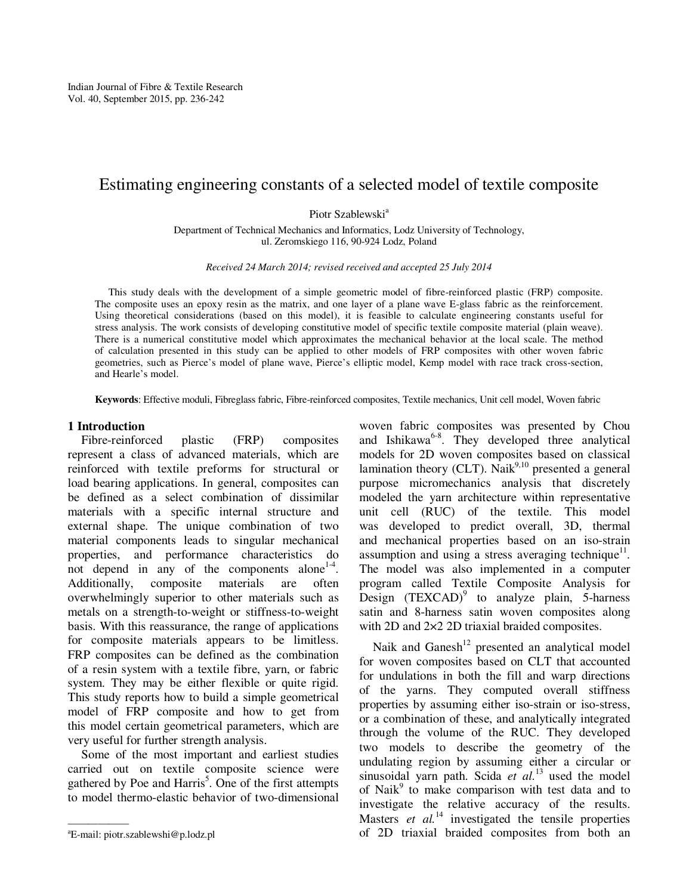# Estimating engineering constants of a selected model of textile composite

Piotr Szablewski<sup>a</sup>

Department of Technical Mechanics and Informatics, Lodz University of Technology, ul. Zeromskiego 116, 90-924 Lodz, Poland

*Received 24 March 2014; revised received and accepted 25 July 2014* 

This study deals with the development of a simple geometric model of fibre-reinforced plastic (FRP) composite. The composite uses an epoxy resin as the matrix, and one layer of a plane wave E-glass fabric as the reinforcement. Using theoretical considerations (based on this model), it is feasible to calculate engineering constants useful for stress analysis. The work consists of developing constitutive model of specific textile composite material (plain weave). There is a numerical constitutive model which approximates the mechanical behavior at the local scale. The method of calculation presented in this study can be applied to other models of FRP composites with other woven fabric geometries, such as Pierce's model of plane wave, Pierce's elliptic model, Kemp model with race track cross-section, and Hearle's model.

**Keywords**: Effective moduli, Fibreglass fabric, Fibre-reinforced composites, Textile mechanics, Unit cell model, Woven fabric

#### **1 Introduction**

Fibre-reinforced plastic (FRP) composites represent a class of advanced materials, which are reinforced with textile preforms for structural or load bearing applications. In general, composites can be defined as a select combination of dissimilar materials with a specific internal structure and external shape. The unique combination of two material components leads to singular mechanical properties, and performance characteristics do not depend in any of the components alone $14$ . Additionally, composite materials are often overwhelmingly superior to other materials such as metals on a strength-to-weight or stiffness-to-weight basis. With this reassurance, the range of applications for composite materials appears to be limitless. FRP composites can be defined as the combination of a resin system with a textile fibre, yarn, or fabric system. They may be either flexible or quite rigid. This study reports how to build a simple geometrical model of FRP composite and how to get from this model certain geometrical parameters, which are very useful for further strength analysis.

Some of the most important and earliest studies carried out on textile composite science were gathered by Poe and Harris<sup>5</sup>. One of the first attempts to model thermo-elastic behavior of two-dimensional

woven fabric composites was presented by Chou and Ishikawa<sup>6-8</sup>. They developed three analytical models for 2D woven composites based on classical lamination theory (CLT). Naik $9,10$  presented a general purpose micromechanics analysis that discretely modeled the yarn architecture within representative unit cell (RUC) of the textile. This model was developed to predict overall, 3D, thermal and mechanical properties based on an iso-strain assumption and using a stress averaging technique<sup>11</sup>. The model was also implemented in a computer program called Textile Composite Analysis for Design  $(TEXCAD)^9$  to analyze plain, 5-harness satin and 8-harness satin woven composites along with 2D and  $2\times2$  2D triaxial braided composites.

Naik and  $Ganesh^{12}$  presented an analytical model for woven composites based on CLT that accounted for undulations in both the fill and warp directions of the yarns. They computed overall stiffness properties by assuming either iso-strain or iso-stress, or a combination of these, and analytically integrated through the volume of the RUC. They developed two models to describe the geometry of the undulating region by assuming either a circular or sinusoidal yarn path. Scida *et al.*<sup>13</sup> used the model of Naik<sup>9</sup> to make comparison with test data and to investigate the relative accuracy of the results. Masters *et al.*<sup>14</sup> investigated the tensile properties of 2D triaxial braided composites from both an

 $E$ -mail: piotr.szablewshi@p.lodz.pl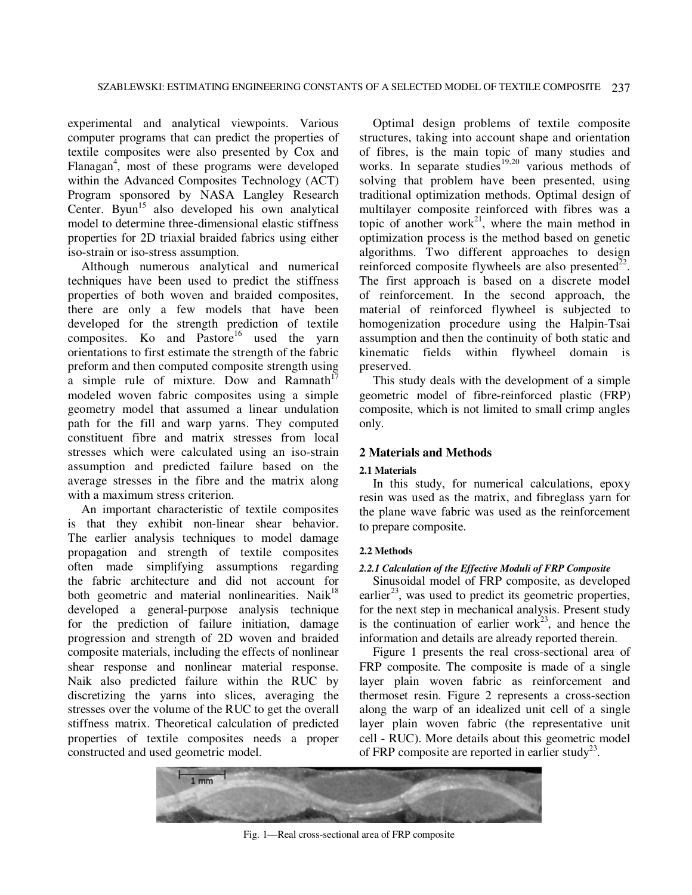experimental and analytical viewpoints. Various computer programs that can predict the properties of textile composites were also presented by Cox and Flanagan<sup>4</sup>, most of these programs were developed within the Advanced Composites Technology (ACT) Program sponsored by NASA Langley Research Center. Byun<sup>15</sup> also developed his own analytical model to determine three-dimensional elastic stiffness properties for 2D triaxial braided fabrics using either iso-strain or iso-stress assumption.

Although numerous analytical and numerical techniques have been used to predict the stiffness properties of both woven and braided composites, there are only a few models that have been developed for the strength prediction of textile composites. Ko and Pastore<sup>16</sup> used the yarn orientations to first estimate the strength of the fabric preform and then computed composite strength using a simple rule of mixture. Dow and Ramnath<sup>17</sup> modeled woven fabric composites using a simple geometry model that assumed a linear undulation path for the fill and warp yarns. They computed constituent fibre and matrix stresses from local stresses which were calculated using an iso-strain assumption and predicted failure based on the average stresses in the fibre and the matrix along with a maximum stress criterion.

An important characteristic of textile composites is that they exhibit non-linear shear behavior. The earlier analysis techniques to model damage propagation and strength of textile composites often made simplifying assumptions regarding the fabric architecture and did not account for both geometric and material nonlinearities. Naik<sup>18</sup> developed a general-purpose analysis technique for the prediction of failure initiation, damage progression and strength of 2D woven and braided composite materials, including the effects of nonlinear shear response and nonlinear material response. Naik also predicted failure within the RUC by discretizing the yarns into slices, averaging the stresses over the volume of the RUC to get the overall stiffness matrix. Theoretical calculation of predicted properties of textile composites needs a proper constructed and used geometric model.

Optimal design problems of textile composite structures, taking into account shape and orientation of fibres, is the main topic of many studies and works. In separate studies<sup>19,20</sup> various methods of solving that problem have been presented, using traditional optimization methods. Optimal design of multilayer composite reinforced with fibres was a topic of another work<sup>21</sup>, where the main method in optimization process is the method based on genetic algorithms. Two different approaches to design reinforced composite flywheels are also presented $2^2$ . The first approach is based on a discrete model of reinforcement. In the second approach, the material of reinforced flywheel is subjected to homogenization procedure using the Halpin-Tsai assumption and then the continuity of both static and kinematic fields within flywheel domain is preserved.

This study deals with the development of a simple geometric model of fibre-reinforced plastic (FRP) composite, which is not limited to small crimp angles only.

## **2 Materials and Methods**

## **2.1 Materials**

In this study, for numerical calculations, epoxy resin was used as the matrix, and fibreglass yarn for the plane wave fabric was used as the reinforcement to prepare composite.

#### **2.2 Methods**

## *2.2.1 Calculation of the Effective Moduli of FRP Composite*

Sinusoidal model of FRP composite, as developed earlier<sup>23</sup>, was used to predict its geometric properties, for the next step in mechanical analysis. Present study is the continuation of earlier work<sup>23</sup>, and hence the information and details are already reported therein.

Figure 1 presents the real cross-sectional area of FRP composite. The composite is made of a single layer plain woven fabric as reinforcement and thermoset resin. Figure 2 represents a cross-section along the warp of an idealized unit cell of a single layer plain woven fabric (the representative unit cell - RUC). More details about this geometric model of FRP composite are reported in earlier study<sup>23</sup>.



Fig. 1—Real cross-sectional area of FRP composite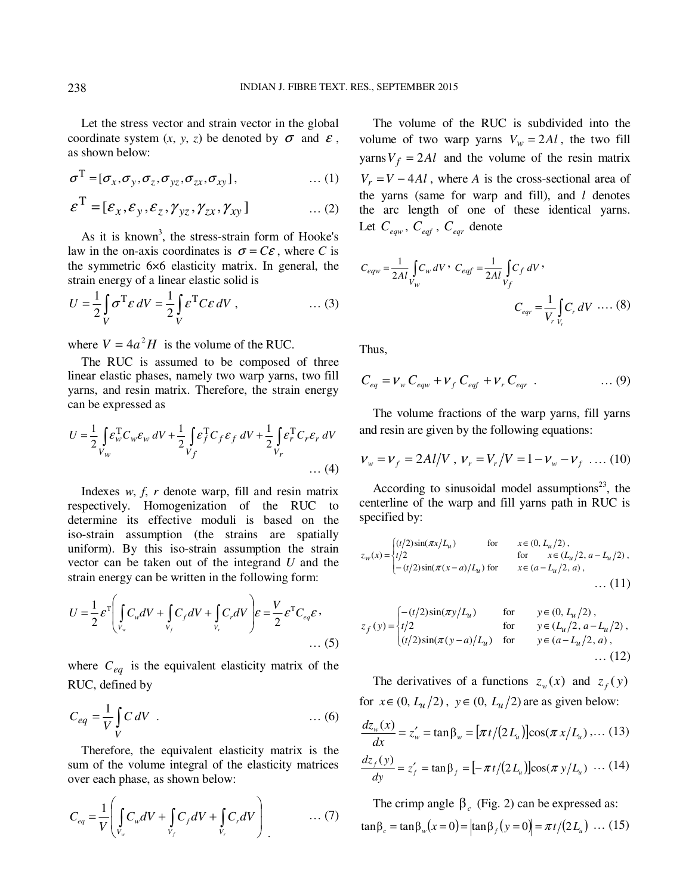Let the stress vector and strain vector in the global coordinate system  $(x, y, z)$  be denoted by  $\sigma$  and  $\varepsilon$ , as shown below:

$$
\sigma^{\mathrm{T}} = [\sigma_x, \sigma_y, \sigma_z, \sigma_{yz}, \sigma_{zx}, \sigma_{xy}], \qquad \qquad \dots (1)
$$

$$
\boldsymbol{\varepsilon}^{\mathrm{T}} = [\varepsilon_x, \varepsilon_y, \varepsilon_z, \gamma_{yz}, \gamma_{zx}, \gamma_{xy}] \qquad \qquad \dots (2)
$$

As it is known<sup>3</sup>, the stress-strain form of Hooke's law in the on-axis coordinates is  $\sigma = C\varepsilon$ , where *C* is the symmetric 6×6 elasticity matrix. In general, the strain energy of a linear elastic solid is

$$
U = \frac{1}{2} \int_{V} \sigma^{T} \varepsilon \, dV = \frac{1}{2} \int_{V} \varepsilon^{T} C \varepsilon \, dV, \qquad \qquad \dots (3)
$$

where  $V = 4a^2H$  is the volume of the RUC.

The RUC is assumed to be composed of three linear elastic phases, namely two warp yarns, two fill yarns, and resin matrix. Therefore, the strain energy can be expressed as

$$
U = \frac{1}{2} \int_{V_W} \mathcal{E}_w^{\mathrm{T}} C_w \mathcal{E}_w \, dV + \frac{1}{2} \int_{V_f} \mathcal{E}_f^{\mathrm{T}} C_f \mathcal{E}_f \, dV + \frac{1}{2} \int_{V_r} \mathcal{E}_r^{\mathrm{T}} C_r \mathcal{E}_r \, dV
$$
\n
$$
\dots \text{ (4)}
$$

Indexes *w*, *f*, *r* denote warp, fill and resin matrix respectively. Homogenization of the RUC to determine its effective moduli is based on the iso-strain assumption (the strains are spatially uniform). By this iso-strain assumption the strain vector can be taken out of the integrand *U* and the strain energy can be written in the following form:

$$
U = \frac{1}{2} \varepsilon^{T} \left( \int_{V_{w}} C_{w} dV + \int_{V_{f}} C_{f} dV + \int_{V_{r}} C_{r} dV \right) \varepsilon = \frac{V}{2} \varepsilon^{T} C_{eq} \varepsilon ,
$$
\n(5)

where  $C_{eq}$  is the equivalent elasticity matrix of the RUC, defined by

$$
C_{eq} = \frac{1}{V} \int\limits_V C \, dV \quad . \tag{6}
$$

Therefore, the equivalent elasticity matrix is the sum of the volume integral of the elasticity matrices over each phase, as shown below:

$$
C_{eq} = \frac{1}{V} \left( \int\limits_{V_w} C_w dV + \int\limits_{V_f} C_f dV + \int\limits_{V_r} C_r dV \right) \qquad \qquad \dots (7)
$$

The volume of the RUC is subdivided into the volume of two warp yarns  $V_w = 2Al$ , the two fill yarns  $V_f = 2Al$  and the volume of the resin matrix  $V_r = V - 4Al$ , where *A* is the cross-sectional area of the yarns (same for warp and fill), and *l* denotes the arc length of one of these identical yarns. Let *Ceqw* , *Ceqf* , *Ceqr* denote

$$
C_{eqw} = \frac{1}{2Al} \int_{V_w} C_w \, dV \cdot C_{eqf} = \frac{1}{2Al} \int_{V_f} C_f \, dV \cdot C_{eqr} = \frac{1}{V_r} \int_{V_r} C_r \, dV \cdot \dots (8)
$$

Thus,

$$
C_{eq} = V_w C_{eqw} + V_f C_{eqf} + V_r C_{eqr} \t\t(9)
$$

The volume fractions of the warp yarns, fill yarns and resin are given by the following equations:

$$
V_w = V_f = 2Al/V, \ V_r = V_r/V = 1 - V_w - V_f \ \dots (10)
$$

According to sinusoidal model assumptions<sup>23</sup>, the centerline of the warp and fill yarns path in RUC is specified by:

$$
z_w(x) = \begin{cases} (t/2)\sin(\pi x/L_u) & \text{for } x \in (0, L_u/2), \\ t/2 & \text{for } x \in (L_u/2, a - L_u/2), \\ -(t/2)\sin(\pi(x - a)/L_u) & \text{for } x \in (a - L_u/2, a), \\ \dots & \dots & (11) \end{cases}
$$

$$
z_f(y) = \begin{cases} -(t/2)\sin(\pi y/L_u) & \text{for } y \in (0, L_u/2), \\ t/2 & \text{for } y \in (L_u/2, a - L_u/2), \\ (t/2)\sin(\pi (y - a)/L_u) & \text{for } y \in (a - L_u/2, a), \\ \dots & (12) \end{cases}
$$

The derivatives of a functions  $z_w(x)$  and  $z_f(y)$ for  $x \in (0, L_u/2)$ ,  $y \in (0, L_u/2)$  are as given below:

$$
\frac{dz_w(x)}{dx} = z'_w = \tan \beta_w = [\pi t/(2L_u)] \cos(\pi x/L_u) \dots (13)
$$

$$
\frac{dz_f(y)}{dy} = z'_f = \tan \beta_f = [-\pi t/(2L_u)]\cos(\pi y/L_u) \dots (14)
$$

The crimp angle  $\beta_c$  (Fig. 2) can be expressed as:  $\tan \beta_c = \tan \beta_w (x = 0) = |\tan \beta_f (y = 0)| = \pi t / (2L_u) \dots (15)$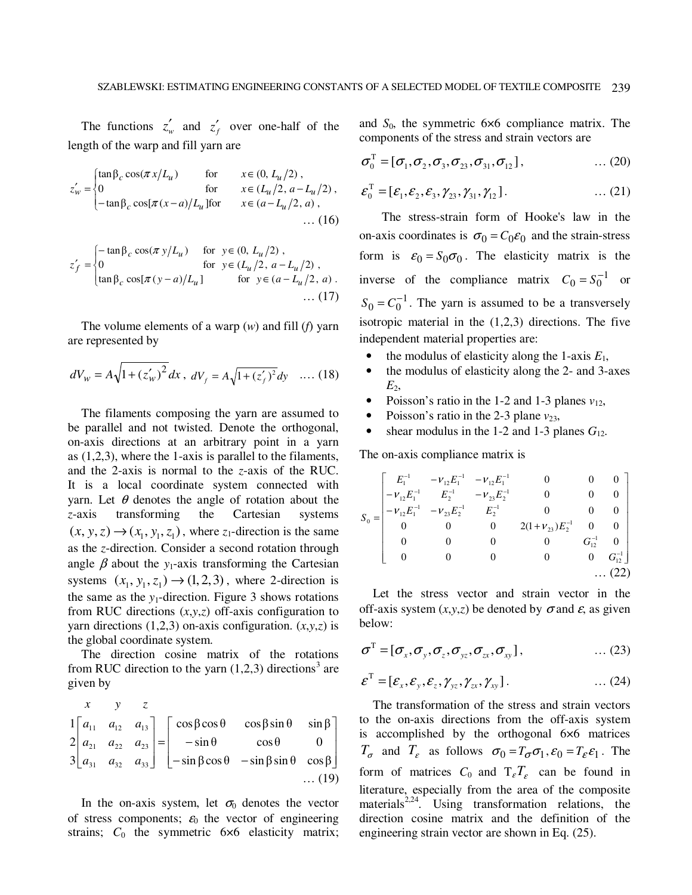The functions  $z'_w$  and  $z'_f$  over one-half of the length of the warp and fill yarn are

$$
z'_{w} = \begin{cases} \n\tan \beta_{c} \cos(\pi x/L_{u}) & \text{for} & x \in (0, L_{u}/2), \\
0 & \text{for} & x \in (L_{u}/2, a - L_{u}/2), \\
-\tan \beta_{c} \cos[\pi(x-a)/L_{u}] \text{for} & x \in (a - L_{u}/2, a), \\
\dots (16) & \dots (16) \n\end{cases}
$$

$$
z'_{f} = \begin{cases} -\tan \beta_{c} \cos(\pi y/L_{u}) & \text{for } y \in (0, L_{u}/2), \\ 0 & \text{for } y \in (L_{u}/2, a - L_{u}/2), \\ \tan \beta_{c} \cos[\pi(y-a)/L_{u}] & \text{for } y \in (a - L_{u}/2, a). \end{cases}
$$
 (17)

The volume elements of a warp (*w*) and fill (*f*) yarn are represented by

$$
dV_w = A\sqrt{1 + (z'_w)^2} dx, \ dV_f = A\sqrt{1 + (z'_f)^2} dy \quad \dots (18)
$$

The filaments composing the yarn are assumed to be parallel and not twisted. Denote the orthogonal, on-axis directions at an arbitrary point in a yarn as (1,2,3), where the 1-axis is parallel to the filaments, and the 2-axis is normal to the *z*-axis of the RUC. It is a local coordinate system connected with yarn. Let  $\theta$  denotes the angle of rotation about the *z*-axis transforming the Cartesian systems  $(x, y, z) \rightarrow (x_1, y_1, z_1)$ , where  $z_1$ -direction is the same as the *z*-direction. Consider a second rotation through angle  $\beta$  about the *y*<sub>1</sub>-axis transforming the Cartesian systems  $(x_1, y_1, z_1) \rightarrow (1, 2, 3)$ , where 2-direction is the same as the  $y_1$ -direction. Figure 3 shows rotations from RUC directions (*x*,*y*,*z*) off-axis configuration to yarn directions  $(1,2,3)$  on-axis configuration.  $(x,y,z)$  is the global coordinate system.

The direction cosine matrix of the rotations from RUC direction to the yarn  $(1,2,3)$  directions<sup>3</sup> are given by

$$
\begin{bmatrix} x & y & z \\ 1 & a_{11} & a_{12} & a_{13} \\ 2 & a_{21} & a_{22} & a_{23} \\ a_{31} & a_{32} & a_{33} \end{bmatrix} = \begin{bmatrix} \cos\beta\cos\theta & \cos\beta\sin\theta & \sin\beta \\ -\sin\theta & \cos\theta & 0 \\ -\sin\beta\cos\theta & -\sin\beta\sin\theta & \cos\beta \end{bmatrix} \dots (19)
$$

In the on-axis system, let  $\sigma_0$  denotes the vector of stress components;  $\varepsilon_0$  the vector of engineering strains;  $C_0$  the symmetric  $6\times 6$  elasticity matrix; and *S*0, the symmetric 6×6 compliance matrix. The components of the stress and strain vectors are

$$
\sigma_0^{\mathrm{T}} = [\sigma_1, \sigma_2, \sigma_3, \sigma_{23}, \sigma_{31}, \sigma_{12}], \qquad \qquad \dots (20)
$$

$$
\boldsymbol{\varepsilon}_0^{\mathrm{T}} = [\varepsilon_1, \varepsilon_2, \varepsilon_3, \gamma_{23}, \gamma_{31}, \gamma_{12}]. \tag{21}
$$

The stress-strain form of Hooke's law in the on-axis coordinates is  $\sigma_0 = C_0 \varepsilon_0$  and the strain-stress form is  $\varepsilon_0 = S_0 \sigma_0$ . The elasticity matrix is the inverse of the compliance matrix  $C_0 = S_0^{-1}$  or  $S_0 = C_0^{-1}$ . The yarn is assumed to be a transversely isotropic material in the  $(1,2,3)$  directions. The five independent material properties are:

- the modulus of elasticity along the 1-axis  $E_1$ ,
- the modulus of elasticity along the 2- and 3-axes  $E_2$
- Poisson's ratio in the 1-2 and 1-3 planes  $v_{12}$ ,
- Poisson's ratio in the 2-3 plane  $v_{23}$ ,
- shear modulus in the 1-2 and 1-3 planes  $G_{12}$ .

The on-axis compliance matrix is

$$
S_0 = \begin{bmatrix} E_1^{-1} & -\nu_{12} E_1^{-1} & -\nu_{12} E_1^{-1} & 0 & 0 & 0 \\ -\nu_{12} E_1^{-1} & E_2^{-1} & -\nu_{23} E_2^{-1} & 0 & 0 & 0 \\ -\nu_{12} E_1^{-1} & -\nu_{23} E_2^{-1} & E_2^{-1} & 0 & 0 & 0 \\ 0 & 0 & 0 & 2(1+\nu_{23}) E_2^{-1} & 0 & 0 \\ 0 & 0 & 0 & 0 & G_{12}^{-1} & 0 \\ 0 & 0 & 0 & 0 & 0 & G_{12}^{-1} \end{bmatrix}
$$
... (22)

Let the stress vector and strain vector in the off-axis system  $(x, y, z)$  be denoted by  $\sigma$  and  $\varepsilon$ , as given below:

$$
\boldsymbol{\sigma}^{\mathrm{T}} = [\boldsymbol{\sigma}_x, \boldsymbol{\sigma}_y, \boldsymbol{\sigma}_z, \boldsymbol{\sigma}_{yz}, \boldsymbol{\sigma}_{zx}, \boldsymbol{\sigma}_{xy}], \qquad \qquad \dots (23)
$$

$$
\boldsymbol{\mathcal{E}}^{\mathrm{T}} = [\boldsymbol{\mathcal{E}}_x, \boldsymbol{\mathcal{E}}_y, \boldsymbol{\mathcal{E}}_z, \boldsymbol{\gamma}_{yz}, \boldsymbol{\gamma}_{zx}, \boldsymbol{\gamma}_{xy}]. \qquad \qquad \dots (24)
$$

The transformation of the stress and strain vectors to the on-axis directions from the off-axis system is accomplished by the orthogonal 6×6 matrices  $T_{\sigma}$  and  $T_{\varepsilon}$  as follows  $\sigma_0 = T_{\sigma} \sigma_1$ ,  $\varepsilon_0 = T_{\varepsilon} \varepsilon_1$ . The form of matrices  $C_0$  and  $T_{\varepsilon}T_{\varepsilon}$  can be found in literature, especially from the area of the composite materials<sup>2,24</sup>. Using transformation relations, the direction cosine matrix and the definition of the engineering strain vector are shown in Eq. (25).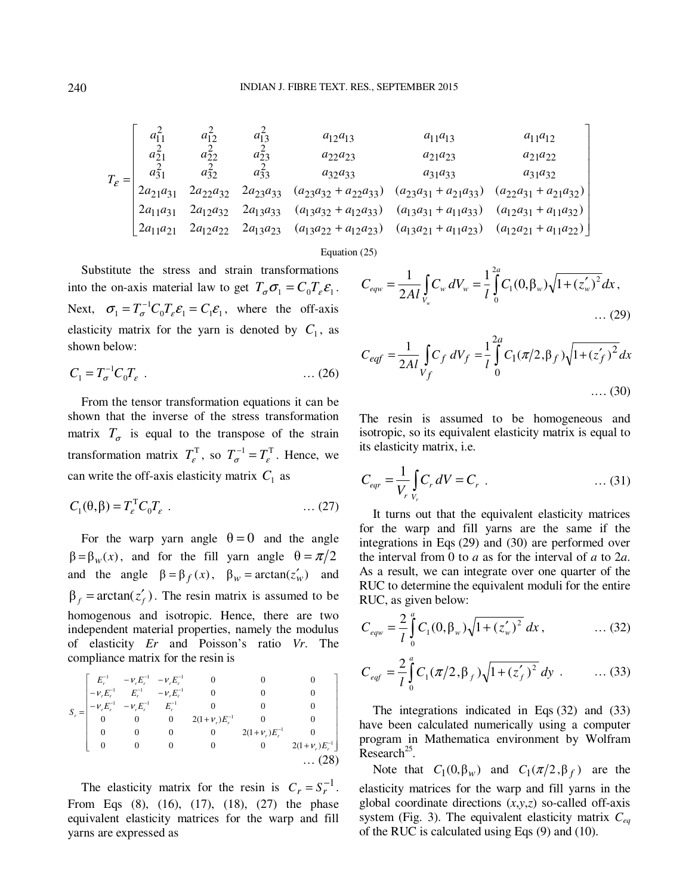$$
T_{\varepsilon} = \begin{bmatrix} a_{11}^2 & a_{12}^2 & a_{13}^2 & a_{12}a_{13} & a_{11}a_{13} & a_{11}a_{12} \\ a_{21}^2 & a_{22}^2 & a_{23}^2 & a_{22}a_{23} & a_{21}a_{23} & a_{21}a_{22} \\ a_{31}^2 & a_{32}^2 & a_{33}^2 & a_{32}a_{33} & a_{31}a_{33} & a_{31}a_{32} \\ 2a_{21}a_{31} & 2a_{22}a_{32} & 2a_{23}a_{33} & (a_{23}a_{32} + a_{22}a_{33}) & (a_{23}a_{31} + a_{21}a_{33}) & (a_{22}a_{31} + a_{21}a_{32}) \\ 2a_{11}a_{31} & 2a_{12}a_{32} & 2a_{13}a_{33} & (a_{13}a_{32} + a_{12}a_{33}) & (a_{13}a_{31} + a_{11}a_{33}) & (a_{12}a_{31} + a_{11}a_{32}) \\ 2a_{11}a_{21} & 2a_{12}a_{22} & 2a_{13}a_{23} & (a_{13}a_{22} + a_{12}a_{23}) & (a_{13}a_{21} + a_{11}a_{23}) & (a_{12}a_{21} + a_{11}a_{22}) \end{bmatrix}
$$

Equation (25)

Substitute the stress and strain transformations into the on-axis material law to get  $T_{\sigma} \sigma_1 = C_0 T_{\varepsilon} \varepsilon_1$ . Next,  $\sigma_1 = T_{\sigma}^{-1} C_0 T_{\varepsilon} \varepsilon_1 = C_1 \varepsilon_1$ , where the off-axis elasticity matrix for the yarn is denoted by  $C_1$ , as shown below:

$$
C_1 = T_{\sigma}^{-1} C_0 T_{\varepsilon} \tag{26}
$$

From the tensor transformation equations it can be shown that the inverse of the stress transformation matrix  $T_{\sigma}$  is equal to the transpose of the strain transformation matrix  $T_{\varepsilon}^T$ , so  $T_{\sigma}^{-1} = T_{\varepsilon}^T$ . Hence, we can write the off-axis elasticity matrix  $C_1$  as

$$
C_1(\theta, \beta) = T_{\varepsilon}^{\mathrm{T}} C_0 T_{\varepsilon} \tag{27}
$$

For the warp yarn angle  $\theta = 0$  and the angle  $\beta = \beta_w(x)$ , and for the fill yarn angle  $\theta = \pi/2$ and the angle  $\beta = \beta_f(x)$ ,  $\beta_w = \arctan(z'_w)$  and  $\beta_f = \arctan(z'_f)$ . The resin matrix is assumed to be homogenous and isotropic. Hence, there are two independent material properties, namely the modulus of elasticity *Er* and Poisson's ratio *Vr*. The compliance matrix for the resin is

$$
S_r = \begin{bmatrix} E_r^{-1} & -\nu_r E_r^{-1} & -\nu_r E_r^{-1} & 0 & 0 & 0 \\ -\nu_r E_r^{-1} & E_r^{-1} & -\nu_r E_r^{-1} & 0 & 0 & 0 \\ -\nu_r E_r^{-1} & -\nu_r E_r^{-1} & E_r^{-1} & 0 & 0 & 0 \\ 0 & 0 & 0 & 2(1+\nu_r)E_r^{-1} & 0 & 0 \\ 0 & 0 & 0 & 0 & 2(1+\nu_r)E_r^{-1} & 0 \\ 0 & 0 & 0 & 0 & 0 & 2(1+\nu_r)E_r^{-1} \end{bmatrix}
$$
... (28)

The elasticity matrix for the resin is  $C_r = S_r^{-1}$ . From Eqs (8), (16), (17), (18), (27) the phase equivalent elasticity matrices for the warp and fill yarns are expressed as

$$
C_{eqw} = \frac{1}{2Al} \int_{V_w} C_w \, dV_w = \frac{1}{l} \int_0^{2a} C_1(0, \beta_w) \sqrt{1 + (z'_w)^2} \, dx,
$$
\n(29)

$$
C_{eqf} = \frac{1}{2Al} \int_{V_f} C_f \, dV_f = \frac{1}{l} \int_{0}^{2a} C_1(\pi/2, \beta_f) \sqrt{1 + (z'_f)^2} \, dx
$$
\n.... (30)

The resin is assumed to be homogeneous and isotropic, so its equivalent elasticity matrix is equal to its elasticity matrix, i.e.

$$
C_{eqr} = \frac{1}{V_r} \int_{V_r} C_r \, dV = C_r \quad \dots \quad (31)
$$

It turns out that the equivalent elasticity matrices for the warp and fill yarns are the same if the integrations in Eqs (29) and (30) are performed over the interval from 0 to *a* as for the interval of *a* to 2*a*. As a result, we can integrate over one quarter of the RUC to determine the equivalent moduli for the entire RUC, as given below:

$$
C_{eqw} = \frac{2}{l} \int_{0}^{a} C_{1}(0, \beta_{w}) \sqrt{1 + (z_{w}')^{2}} dx, \qquad \dots (32)
$$

$$
C_{eqf} = \frac{2}{l} \int_{0}^{a} C_{1} (\pi/2, \beta_{f}) \sqrt{1 + (z_{f}')^{2}} dy \dots (33)
$$

The integrations indicated in Eqs (32) and (33) have been calculated numerically using a computer program in Mathematica environment by Wolfram  $Research<sup>25</sup>$ .

Note that  $C_1(0, \beta_w)$  and  $C_1(\pi/2, \beta_f)$  are the elasticity matrices for the warp and fill yarns in the global coordinate directions (*x*,*y*,*z*) so-called off-axis system (Fig. 3). The equivalent elasticity matrix *Ceq* of the RUC is calculated using Eqs (9) and (10).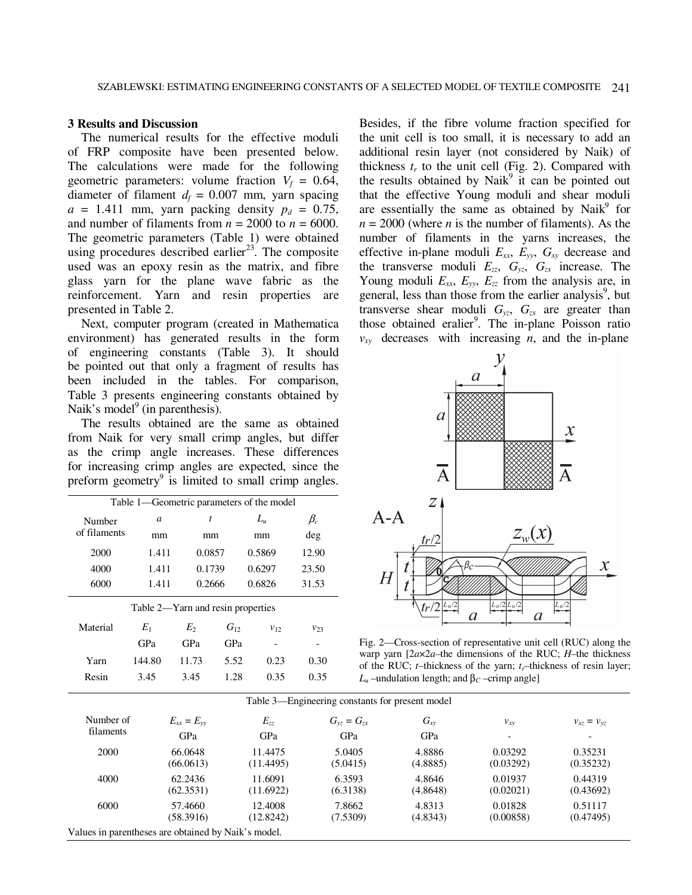## **3 Results and Discussion**

The numerical results for the effective moduli of FRP composite have been presented below. The calculations were made for the following geometric parameters: volume fraction  $V_f = 0.64$ , diameter of filament  $d_f = 0.007$  mm, yarn spacing  $a = 1.411$  mm, yarn packing density  $p_d = 0.75$ , and number of filaments from  $n = 2000$  to  $n = 6000$ . The geometric parameters (Table 1) were obtained using procedures described earlier<sup>23</sup>. The composite used was an epoxy resin as the matrix, and fibre glass yarn for the plane wave fabric as the reinforcement. Yarn and resin properties are presented in Table 2.

Next, computer program (created in Mathematica environment) has generated results in the form of engineering constants (Table 3). It should be pointed out that only a fragment of results has been included in the tables. For comparison, Table 3 presents engineering constants obtained by Naik's model<sup>9</sup> (in parenthesis).

The results obtained are the same as obtained from Naik for very small crimp angles, but differ as the crimp angle increases. These differences for increasing crimp angles are expected, since the preform geometry<sup>9</sup> is limited to small crimp angles.

| Table 1—Geometric parameters of the model |        |        |          |          |             |  |  |  |
|-------------------------------------------|--------|--------|----------|----------|-------------|--|--|--|
| Number                                    | a      | t      |          | $L_u$    | $\beta_c$   |  |  |  |
| of filaments                              | mm     | mm     |          | mm       | deg         |  |  |  |
| 2000                                      | 1.411  | 0.0857 |          | 0.5869   | 12.90       |  |  |  |
| 4000                                      | 1.411  | 0.1739 |          | 0.6297   | 23.50       |  |  |  |
| 6000                                      | 1.411  | 0.2666 |          | 0.6826   | 31.53       |  |  |  |
| Table 2-Yarn and resin properties         |        |        |          |          |             |  |  |  |
| Material                                  | $E_1$  | $E_2$  | $G_{12}$ | $v_{12}$ | $v_{23}$    |  |  |  |
|                                           | GPa    | GPa    | GPa      |          |             |  |  |  |
| Yarn                                      | 144.80 | 11.73  | 5.52     | 0.23     | 0.30        |  |  |  |
| Resin                                     | 3.45   | 3.45   | 1.28     | 0.35     | 0.35        |  |  |  |
|                                           |        |        |          | Table 3- | Engineering |  |  |  |

Besides, if the fibre volume fraction specified for the unit cell is too small, it is necessary to add an additional resin layer (not considered by Naik) of thickness  $t_r$  to the unit cell (Fig. 2). Compared with the results obtained by Naik $9$  it can be pointed out that the effective Young moduli and shear moduli are essentially the same as obtained by Naik<sup>9</sup> for  $n = 2000$  (where *n* is the number of filaments). As the number of filaments in the yarns increases, the effective in-plane moduli  $E_{xx}$ ,  $E_{yy}$ ,  $G_{xy}$  decrease and the transverse moduli  $E_{zz}$ ,  $G_{yz}$ ,  $G_{zx}$  increase. The Young moduli  $E_{xx}$ ,  $E_{yy}$ ,  $E_{zz}$  from the analysis are, in general, less than those from the earlier analysis<sup>9</sup>, but transverse shear moduli  $G_{yz}$ ,  $G_{zx}$  are greater than those obtained eralier<sup>9</sup>. The in-plane Poisson ratio  $v_{xy}$  decreases with increasing *n*, and the in-plane



Fig. 2—Cross-section of representative unit cell (RUC) along the warp yarn [2*a*×2*a–*the dimensions of the RUC; *H*–the thickness of the RUC; *t*–thickness of the yarn; *tr*–thickness of resin layer; *L*<sub>*u*</sub> –undulation length; and β*<sub>C</sub>* –crimp angle]

| Number of<br>filaments | $E_{xx} = E_{yy}$ | $E_{zz}$<br>GPa | $G_{vz} = G_{zx}$<br>GPa | $G_{xy}$ | $v_{xy}$<br>$\overline{\phantom{0}}$ | $v_{xz} = v_{yz}$<br>$\overline{\phantom{a}}$ |
|------------------------|-------------------|-----------------|--------------------------|----------|--------------------------------------|-----------------------------------------------|
|                        | GPa               |                 |                          | GPa      |                                      |                                               |
| 2000                   | 66.0648           | 11.4475         | 5.0405                   | 4.8886   | 0.03292                              | 0.35231                                       |
|                        | (66.0613)         | (11.4495)       | (5.0415)                 | (4.8885) | (0.03292)                            | (0.35232)                                     |
| 4000                   | 62.2436           | 11.6091         | 6.3593                   | 4.8646   | 0.01937                              | 0.44319                                       |
|                        | (62.3531)         | (11.6922)       | (6.3138)                 | (4.8648) | (0.02021)                            | (0.43692)                                     |
| 6000                   | 57.4660           | 12.4008         | 7.8662                   | 4.8313   | 0.01828                              | 0.51117                                       |
|                        | (58.3916)         | (12.8242)       | (7.5309)                 | (4.8343) | (0.00858)                            | (0.47495)                                     |